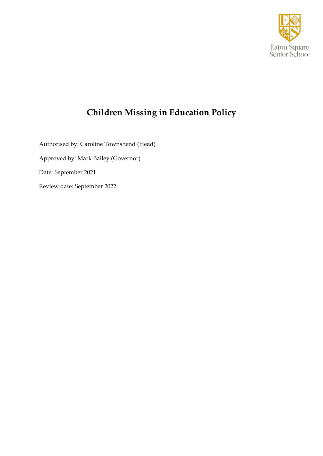

# **Children Missing in Education Policy**

Authorised by: Caroline Townshend (Head) Approved by: Mark Bailey (Governor) Date: September 2021 Review date: September 2022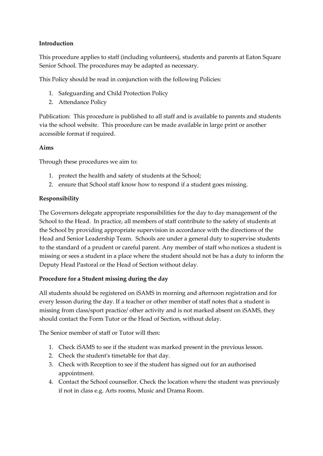## **Introduction**

This procedure applies to staff (including volunteers), students and parents at Eaton Square Senior School. The procedures may be adapted as necessary.

This Policy should be read in conjunction with the following Policies:

- 1. Safeguarding and Child Protection Policy
- 2. Attendance Policy

Publication: This procedure is published to all staff and is available to parents and students via the school website. This procedure can be made available in large print or another accessible format if required.

#### **Aims**

Through these procedures we aim to:

- 1. protect the health and safety of students at the School;
- 2. ensure that School staff know how to respond if a student goes missing.

#### **Responsibility**

The Governors delegate appropriate responsibilities for the day to day management of the School to the Head. In practice, all members of staff contribute to the safety of students at the School by providing appropriate supervision in accordance with the directions of the Head and Senior Leadership Team. Schools are under a general duty to supervise students to the standard of a prudent or careful parent. Any member of staff who notices a student is missing or sees a student in a place where the student should not be has a duty to inform the Deputy Head Pastoral or the Head of Section without delay.

#### **Procedure for a Student missing during the day**

All students should be registered on iSAMS in morning and afternoon registration and for every lesson during the day. If a teacher or other member of staff notes that a student is missing from class/sport practice/ other activity and is not marked absent on iSAMS, they should contact the Form Tutor or the Head of Section, without delay.

The Senior member of staff or Tutor will then:

- 1. Check iSAMS to see if the student was marked present in the previous lesson.
- 2. Check the student's timetable for that day.
- 3. Check with Reception to see if the student has signed out for an authorised appointment.
- 4. Contact the School counsellor. Check the location where the student was previously if not in class e.g. Arts rooms, Music and Drama Room.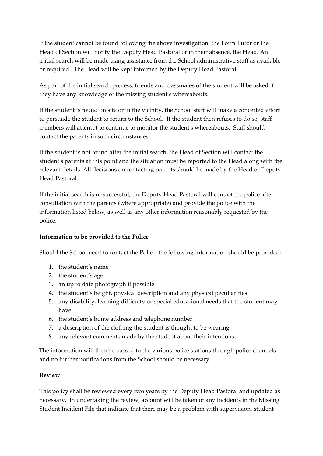If the student cannot be found following the above investigation, the Form Tutor or the Head of Section will notify the Deputy Head Pastoral or in their absence, the Head. An initial search will be made using assistance from the School administrative staff as available or required. The Head will be kept informed by the Deputy Head Pastoral.

As part of the initial search process, friends and classmates of the student will be asked if they have any knowledge of the missing student's whereabouts.

If the student is found on site or in the vicinity, the School staff will make a concerted effort to persuade the student to return to the School. If the student then refuses to do so, staff members will attempt to continue to monitor the student's whereabouts. Staff should contact the parents in such circumstances.

If the student is not found after the initial search, the Head of Section will contact the student's parents at this point and the situation must be reported to the Head along with the relevant details. All decisions on contacting parents should be made by the Head or Deputy Head Pastoral.

If the initial search is unsuccessful, the Deputy Head Pastoral will contact the police after consultation with the parents (where appropriate) and provide the police with the information listed below, as well as any other information reasonably requested by the police.

#### **Information to be provided to the Police**

Should the School need to contact the Police, the following information should be provided:

- 1. the student's name
- 2. the student's age
- 3. an up to date photograph if possible
- 4. the student's height, physical description and any physical peculiarities
- 5. any disability, learning difficulty or special educational needs that the student may have
- 6. the student's home address and telephone number
- 7. a description of the clothing the student is thought to be wearing
- 8. any relevant comments made by the student about their intentions

The information will then be passed to the various police stations through police channels and no further notifications from the School should be necessary.

#### **Review**

This policy shall be reviewed every two years by the Deputy Head Pastoral and updated as necessary. In undertaking the review, account will be taken of any incidents in the Missing Student Incident File that indicate that there may be a problem with supervision, student